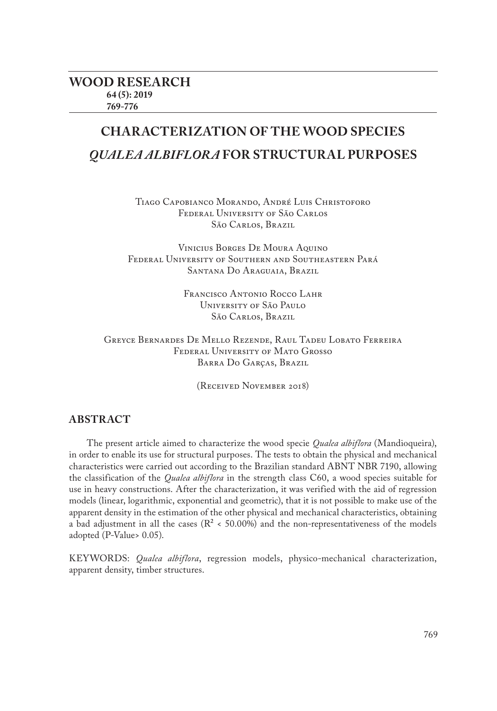# **CHARACTERIZATION OF THE WOOD SPECIES**  *QUALEA ALBIFLORA* **FOR STRUCTURAL PURPOSES**

Tiago Capobianco Morando, André Luis Christoforo Federal University of São Carlos São Carlos, Brazil

Vinicius Borges De Moura Aquino Federal University of Southern and Southeastern Pará Santana Do Araguaia, Brazil

> Francisco Antonio Rocco Lahr University of São Paulo São Carlos, Brazil

Greyce Bernardes De Mello Rezende, Raul Tadeu Lobato Ferreira Federal University of Mato Grosso Barra Do Garças, Brazil

(Received November 2018)

## **ABSTRACT**

The present article aimed to characterize the wood specie *Qualea albiflora* (Mandioqueira), in order to enable its use for structural purposes. The tests to obtain the physical and mechanical characteristics were carried out according to the Brazilian standard ABNT NBR 7190, allowing the classification of the *Qualea albiflora* in the strength class C60, a wood species suitable for use in heavy constructions. After the characterization, it was verified with the aid of regression models (linear, logarithmic, exponential and geometric), that it is not possible to make use of the apparent density in the estimation of the other physical and mechanical characteristics, obtaining a bad adjustment in all the cases ( $R^2$  < 50.00%) and the non-representativeness of the models adopted (P-Value> 0.05).

KEYWORDS: *Qualea albiflora*, regression models, physico-mechanical characterization, apparent density, timber structures.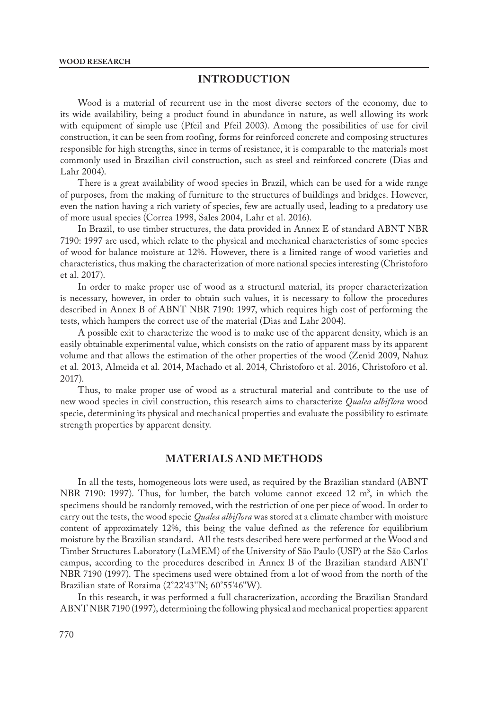## **INTRODUCTION**

Wood is a material of recurrent use in the most diverse sectors of the economy, due to its wide availability, being a product found in abundance in nature, as well allowing its work with equipment of simple use (Pfeil and Pfeil 2003). Among the possibilities of use for civil construction, it can be seen from roofing, forms for reinforced concrete and composing structures responsible for high strengths, since in terms of resistance, it is comparable to the materials most commonly used in Brazilian civil construction, such as steel and reinforced concrete (Dias and Lahr 2004).

There is a great availability of wood species in Brazil, which can be used for a wide range of purposes, from the making of furniture to the structures of buildings and bridges. However, even the nation having a rich variety of species, few are actually used, leading to a predatory use of more usual species (Correa 1998, Sales 2004, Lahr et al. 2016).

In Brazil, to use timber structures, the data provided in Annex E of standard ABNT NBR 7190: 1997 are used, which relate to the physical and mechanical characteristics of some species of wood for balance moisture at 12%. However, there is a limited range of wood varieties and characteristics, thus making the characterization of more national species interesting (Christoforo et al. 2017).

In order to make proper use of wood as a structural material, its proper characterization is necessary, however, in order to obtain such values, it is necessary to follow the procedures described in Annex B of ABNT NBR 7190: 1997, which requires high cost of performing the tests, which hampers the correct use of the material (Dias and Lahr 2004).

A possible exit to characterize the wood is to make use of the apparent density, which is an easily obtainable experimental value, which consists on the ratio of apparent mass by its apparent volume and that allows the estimation of the other properties of the wood (Zenid 2009, Nahuz et al. 2013, Almeida et al. 2014, Machado et al. 2014, Christoforo et al. 2016, Christoforo et al. 2017).

Thus, to make proper use of wood as a structural material and contribute to the use of new wood species in civil construction, this research aims to characterize *Qualea albiflora* wood specie, determining its physical and mechanical properties and evaluate the possibility to estimate strength properties by apparent density.

# **MATERIALS AND METHODS**

In all the tests, homogeneous lots were used, as required by the Brazilian standard (ABNT NBR 7190: 1997). Thus, for lumber, the batch volume cannot exceed 12  $m<sup>3</sup>$ , in which the specimens should be randomly removed, with the restriction of one per piece of wood. In order to carry out the tests, the wood specie *Qualea albiflora* was stored at a climate chamber with moisture content of approximately 12%, this being the value defined as the reference for equilibrium moisture by the Brazilian standard. All the tests described here were performed at the Wood and Timber Structures Laboratory (LaMEM) of the University of São Paulo (USP) at the São Carlos campus, according to the procedures described in Annex B of the Brazilian standard ABNT NBR 7190 (1997). The specimens used were obtained from a lot of wood from the north of the Brazilian state of Roraima (2°22'43''N; 60°55'46"W).

In this research, it was performed a full characterization, according the Brazilian Standard ABNT NBR 7190 (1997), determining the following physical and mechanical properties: apparent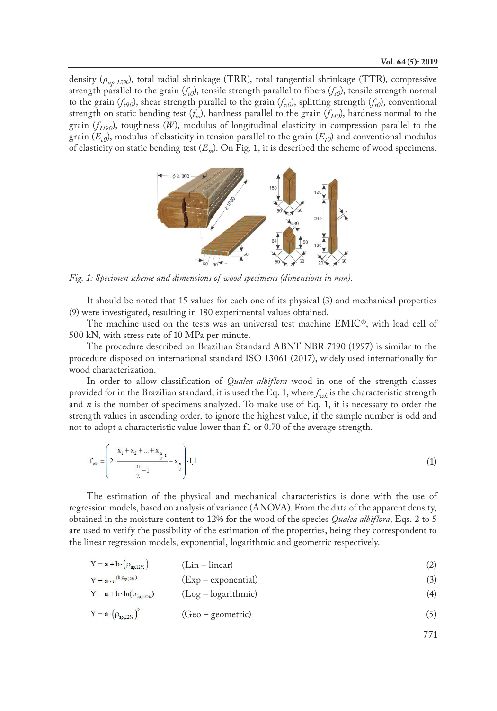density (*ρap,12%*), total radial shrinkage (TRR), total tangential shrinkage (TTR), compressive strength parallel to the grain  $(f<sub>c0</sub>)$ , tensile strength parallel to fibers  $(f<sub>r0</sub>)$ , tensile strength normal to the grain  $(f_{t90})$ , shear strength parallel to the grain  $(f_{v0})$ , splitting strength  $(f_{v0})$ , conventional strength on static bending test  $(f_m)$ , hardness parallel to the grain  $(f_{H0})$ , hardness normal to the grain  $(f_{H90})$ , toughness  $(W)$ , modulus of longitudinal elasticity in compression parallel to the grain  $(E_{c0})$ , modulus of elasticity in tension parallel to the grain  $(E_{t0})$  and conventional modulus of elasticity on static bending test (*Em*). On Fig. 1, it is described the scheme of wood specimens.



*Fig. 1: Specimen scheme and dimensions of wood specimens (dimensions in mm).*

It should be noted that 15 values for each one of its physical (3) and mechanical properties (9) were investigated, resulting in 180 experimental values obtained.

The machine used on the tests was an universal test machine EMIC®, with load cell of 500 kN, with stress rate of 10 MPa per minute.

The procedure described on Brazilian Standard ABNT NBR 7190 (1997) is similar to the procedure disposed on international standard ISO 13061 (2017), widely used internationally for wood characterization.

In order to allow classification of *Qualea albiflora* wood in one of the strength classes provided for in the Brazilian standard, it is used the Eq. 1, where  $f_{wk}$  is the characteristic strength and  $n$  is the number of specimens analyzed. To make use of Eq. 1, it is necessary to order the strength values in ascending order, to ignore the highest value, if the sample number is odd and not to adopt a characteristic value lower than f1 or 0.70 of the average strength.

$$
f_{\rm wk} = \left(2 \cdot \frac{x_1 + x_2 + \dots + x_{\frac{n}{2}-1}}{\frac{n}{2}-1} - x_{\frac{n}{2}}\right) \cdot 1,1
$$
 (1)

The estimation of the physical and mechanical characteristics is done with the use of regression models, based on analysis of variance (ANOVA). From the data of the apparent density, obtained in the moisture content to 12% for the wood of the species *Qualea albiflora*, Eqs. 2 to 5 are used to verify the possibility of the estimation of the properties, being they correspondent to the linear regression models, exponential, logarithmic and geometric respectively.

$$
Y = a + b \cdot (\rho_{ap,12\%}) \tag{2}
$$

$$
Y = a \cdot e^{(b \cdot \rho_{\text{up,12W}})} \tag{3}
$$

$$
Y = a + b \cdot ln(\rho_{ap,12\%})
$$
 (Log – logarithmic) (4)

$$
Y = a \cdot (\rho_{ap,12\%})^{\circ} \tag{5}
$$

771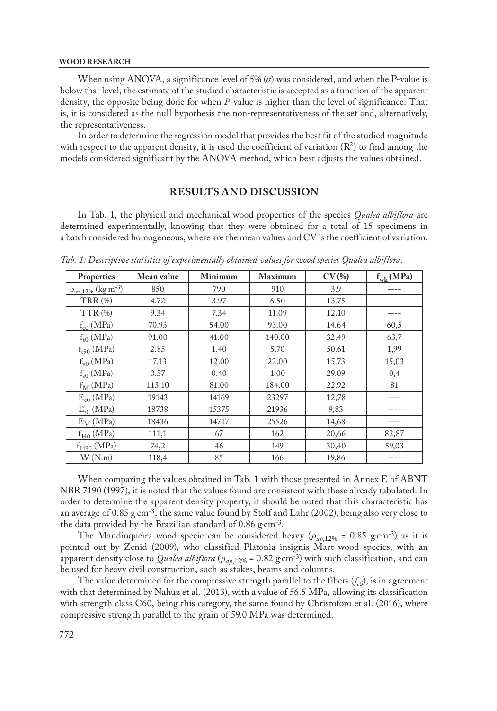#### **WOOD RESEARCH**

When using ANOVA, a significance level of 5% (*α*) was considered, and when the P-value is below that level, the estimate of the studied characteristic is accepted as a function of the apparent density, the opposite being done for when *P*-value is higher than the level of significance. That is, it is considered as the null hypothesis the non-representativeness of the set and, alternatively, the representativeness.

In order to determine the regression model that provides the best fit of the studied magnitude with respect to the apparent density, it is used the coefficient of variation  $(R<sup>2</sup>)$  to find among the models considered significant by the ANOVA method, which best adjusts the values obtained.

### **RESULTS AND DISCUSSION**

In Tab. 1, the physical and mechanical wood properties of the species *Qualea albiflora* are determined experimentally, knowing that they were obtained for a total of 15 specimens in a batch considered homogeneous, where are the mean values and CV is the coefficient of variation.

| Properties                             | Mean value | Minimum | <b>Maximum</b> | CV(%) | $f_{wk}$ (MPa) |
|----------------------------------------|------------|---------|----------------|-------|----------------|
| $\rho_{ap,12\%}$ (kg·m <sup>-3</sup> ) | 850        | 790     | 910            | 3.9   |                |
| <b>TRR (%)</b>                         | 4.72       | 3.97    | 6.50           | 13.75 |                |
|                                        |            |         |                |       |                |
| TTR(%)                                 | 9.34       | 7.34    | 11.09          | 12.10 |                |
| $f_{c0}$ (MPa)                         | 70.93      | 54.00   | 93.00          | 14.64 | 60,5           |
| $f_{t0}$ (MPa)                         | 91.00      | 41.00   | 140.00         | 32.49 | 63,7           |
| $f$ <sub>t90</sub> (MPa)               | 2.85       | 1.40    | 5.70           | 50.61 | 1,99           |
| $f_{v0}$ (MPa)                         | 17.13      | 12.00   | 22.00          | 15.73 | 15,03          |
| $f_{s0}$ (MPa)                         | 0.57       | 0.40    | 1.00           | 29.09 | 0,4            |
| $\rm{f_{M}}$ (MPa)                     | 113.10     | 81.00   | 184.00         | 22.92 | 81             |
| $E_{c0}$ (MPa)                         | 19143      | 14169   | 23297          | 12,78 |                |
| $E_{t0}$ (MPa)                         | 18738      | 15375   | 21936          | 9,83  |                |
| $E_M$ (MPa)                            | 18436      | 14717   | 25526          | 14,68 |                |
| $f_{\mathrm{H}0}$ (MPa)                | 111,1      | 67      | 162            | 20,66 | 82,87          |
| $f_{H90}$ (MPa)                        | 74,2       | 46      | 149            | 30,40 | 59,03          |
| W(N,m)                                 | 118,4      | 85      | 166            | 19,86 |                |

*Tab. 1: Descriptive statistics of experimentally obtained values for wood species Qualea albiflora.*

When comparing the values obtained in Tab. 1 with those presented in Annex E of ABNT NBR 7190 (1997), it is noted that the values found are consistent with those already tabulated. In order to determine the apparent density property, it should be noted that this characteristic has an average of  $0.85$   $\text{g cm}^{-3}$ , the same value found by Stolf and Lahr (2002), being also very close to the data provided by the Brazilian standard of  $0.86$  g cm<sup>-3</sup>.

The Mandioqueira wood specie can be considered heavy ( $\rho_{ap,12\%}$  = 0.85 g cm<sup>-3</sup>) as it is pointed out by Zenid (2009), who classified Platonia insignis Mart wood species, with an apparent density close to *Qualea albiflora* (*ρap*,12% = 0.82 g. cm-3) with such classification, and can be used for heavy civil construction, such as stakes, beams and columns.

The value determined for the compressive strength parallel to the fibers  $(f_{c0})$ , is in agreement with that determined by Nahuz et al. (2013), with a value of 56.5 MPa, allowing its classification with strength class C60, being this category, the same found by Christoforo et al. (2016), where compressive strength parallel to the grain of 59.0 MPa was determined.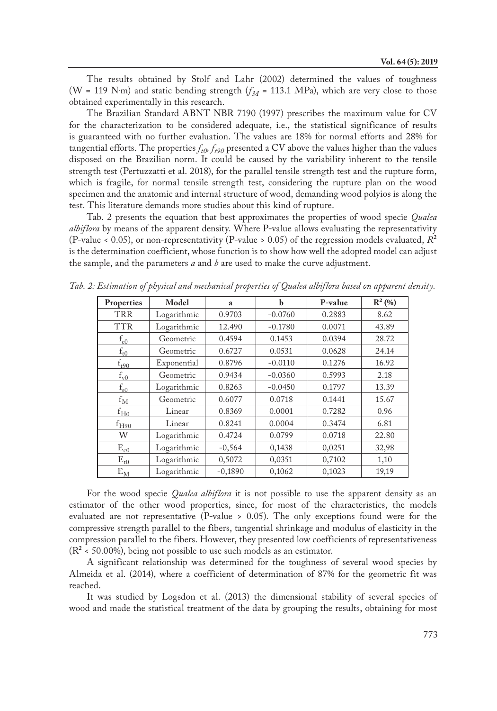The results obtained by Stolf and Lahr (2002) determined the values of toughness (W = 119 N·m) and static bending strength  $(f_M = 113.1 \text{ MPa})$ , which are very close to those obtained experimentally in this research.

The Brazilian Standard ABNT NBR 7190 (1997) prescribes the maximum value for CV for the characterization to be considered adequate, i.e., the statistical significance of results is guaranteed with no further evaluation. The values are 18% for normal efforts and 28% for tangential efforts. The properties  $f_{t0}$ ,  $f_{t90}$  presented a CV above the values higher than the values disposed on the Brazilian norm. It could be caused by the variability inherent to the tensile strength test (Pertuzzatti et al. 2018), for the parallel tensile strength test and the rupture form, which is fragile, for normal tensile strength test, considering the rupture plan on the wood specimen and the anatomic and internal structure of wood, demanding wood polyios is along the test. This literature demands more studies about this kind of rupture.

Tab. 2 presents the equation that best approximates the properties of wood specie *Qualea albiflora* by means of the apparent density. Where P-value allows evaluating the representativity (P-value < 0.05), or non-representativity (P-value > 0.05) of the regression models evaluated,  $R^2$ is the determination coefficient, whose function is to show how well the adopted model can adjust the sample, and the parameters *a* and *b* are used to make the curve adjustment.

| Properties                        | Model       | a         | b         | P-value | $R^2(%)$ |
|-----------------------------------|-------------|-----------|-----------|---------|----------|
| TRR                               | Logarithmic | 0.9703    | $-0.0760$ | 0.2883  | 8.62     |
| <b>TTR</b>                        | Logarithmic | 12.490    | $-0.1780$ | 0.0071  | 43.89    |
| $f_{c0}$                          | Geometric   | 0.4594    | 0.1453    | 0.0394  | 28.72    |
| $f_{t0}$                          | Geometric   | 0.6727    | 0.0531    | 0.0628  | 24.14    |
| $f_{t90}$                         | Exponential | 0.8796    | $-0.0110$ | 0.1276  | 16.92    |
| $f_{\rm v0}$                      | Geometric   | 0.9434    | $-0.0360$ | 0.5993  | 2.18     |
| $f_{s0}$                          | Logarithmic | 0.8263    | $-0.0450$ | 0.1797  | 13.39    |
| $f_{\rm M}$                       | Geometric   | 0.6077    | 0.0718    | 0.1441  | 15.67    |
| $f_{\underline{H0}}$              | Linear      | 0.8369    | 0.0001    | 0.7282  | 0.96     |
| $f_{H90}$                         | Linear      | 0.8241    | 0.0004    | 0.3474  | 6.81     |
| W                                 | Logarithmic | 0.4724    | 0.0799    | 0.0718  | 22.80    |
| $E_{c0}$                          | Logarithmic | $-0,564$  | 0,1438    | 0,0251  | 32,98    |
| $\rm E_{t0}$                      | Logarithmic | 0,5072    | 0,0351    | 0,7102  | 1,10     |
| $\text{E}_{\underline{\text{M}}}$ | Logarithmic | $-0,1890$ | 0,1062    | 0,1023  | 19,19    |

*Tab. 2: Estimation of physical and mechanical properties of Qualea albiflora based on apparent density.*

For the wood specie *Qualea albiflora* it is not possible to use the apparent density as an estimator of the other wood properties, since, for most of the characteristics, the models evaluated are not representative (P-value > 0.05). The only exceptions found were for the compressive strength parallel to the fibers, tangential shrinkage and modulus of elasticity in the compression parallel to the fibers. However, they presented low coefficients of representativeness  $(R<sup>2</sup> < 50.00%)$ , being not possible to use such models as an estimator.

A significant relationship was determined for the toughness of several wood species by Almeida et al. (2014), where a coefficient of determination of 87% for the geometric fit was reached.

It was studied by Logsdon et al. (2013) the dimensional stability of several species of wood and made the statistical treatment of the data by grouping the results, obtaining for most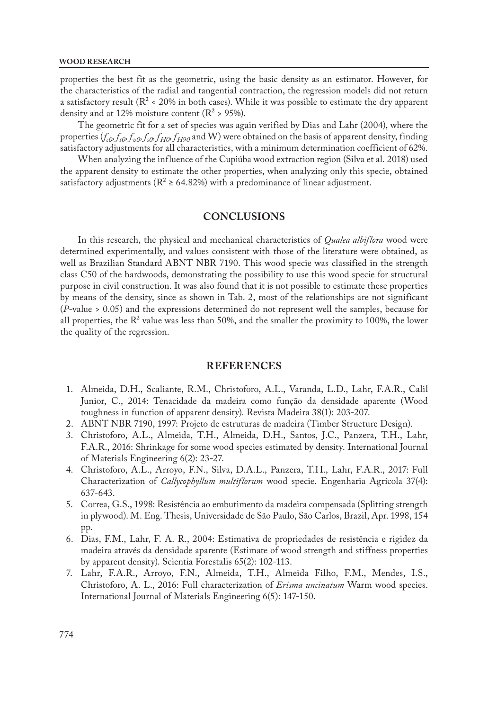properties the best fit as the geometric, using the basic density as an estimator. However, for the characteristics of the radial and tangential contraction, the regression models did not return a satisfactory result ( $\mathbb{R}^2$  < 20% in both cases). While it was possible to estimate the dry apparent density and at 12% moisture content ( $\mathbb{R}^2$  > 95%).

The geometric fit for a set of species was again verified by Dias and Lahr (2004), where the properties ( $f_{c0} f_{f0} f_{v0} f_{g0} f_{H0} f_{H90}$  and W) were obtained on the basis of apparent density, finding satisfactory adjustments for all characteristics, with a minimum determination coefficient of 62%.

When analyzing the influence of the Cupiúba wood extraction region (Silva et al. 2018) used the apparent density to estimate the other properties, when analyzing only this specie, obtained satisfactory adjustments ( $R^2 \ge 64.82\%$ ) with a predominance of linear adjustment.

# **CONCLUSIONS**

In this research, the physical and mechanical characteristics of *Qualea albiflora* wood were determined experimentally, and values consistent with those of the literature were obtained, as well as Brazilian Standard ABNT NBR 7190. This wood specie was classified in the strength class C50 of the hardwoods, demonstrating the possibility to use this wood specie for structural purpose in civil construction. It was also found that it is not possible to estimate these properties by means of the density, since as shown in Tab. 2, most of the relationships are not significant (*P*-value > 0.05) and the expressions determined do not represent well the samples, because for all properties, the  $R<sup>2</sup>$  value was less than 50%, and the smaller the proximity to 100%, the lower the quality of the regression.

## **REFERENCES**

- 1. Almeida, D.H., Scaliante, R.M., Christoforo, A.L., Varanda, L.D., Lahr, F.A.R., Calil Junior, C., 2014: Tenacidade da madeira como função da densidade aparente (Wood toughness in function of apparent density). Revista Madeira 38(1): 203-207.
- 2. ABNT NBR 7190, 1997: Projeto de estruturas de madeira (Timber Structure Design).
- 3. Christoforo, A.L., Almeida, T.H., Almeida, D.H., Santos, J.C., Panzera, T.H., Lahr, F.A.R., 2016: Shrinkage for some wood species estimated by density. International Journal of Materials Engineering 6(2): 23-27.
- 4. Christoforo, A.L., Arroyo, F.N., Silva, D.A.L., Panzera, T.H., Lahr, F.A.R., 2017: Full Characterization of *Callycophyllum multiflorum* wood specie. Engenharia Agrícola 37(4): 637-643.
- 5. Correa, G.S., 1998: Resistência ao embutimento da madeira compensada (Splitting strength in plywood). M. Eng. Thesis, Universidade de São Paulo, São Carlos, Brazil, Apr. 1998, 154 pp.
- 6. Dias, F.M., Lahr, F. A. R., 2004: Estimativa de propriedades de resistência e rigidez da madeira através da densidade aparente (Estimate of wood strength and stiffness properties by apparent density). Scientia Forestalis 65(2): 102-113.
- 7. Lahr, F.A.R., Arroyo, F.N., Almeida, T.H., Almeida Filho, F.M., Mendes, I.S., Christoforo, A. L., 2016: Full characterization of *Erisma uncinatum* Warm wood species. International Journal of Materials Engineering 6(5): 147-150.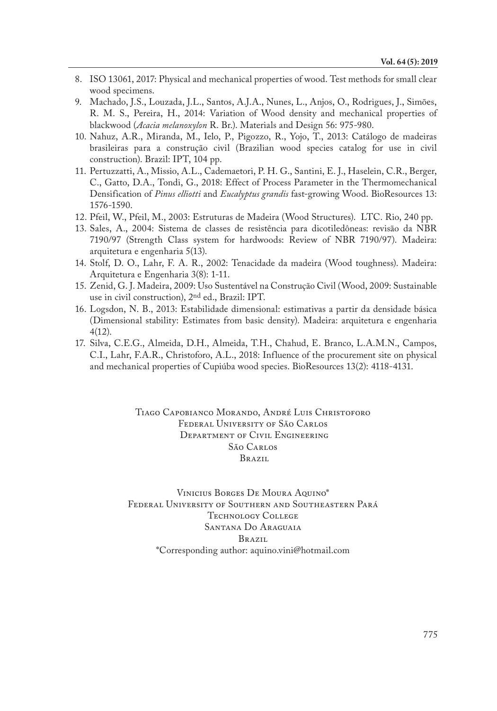- 8. ISO 13061, 2017: Physical and mechanical properties of wood. Test methods for small clear wood specimens.
- 9. Machado, J.S., Louzada, J.L., Santos, A.J.A., Nunes, L., Anjos, O., Rodrigues, J., Simões, R. M. S., Pereira, H., 2014: Variation of Wood density and mechanical properties of blackwood (*Acacia melanoxylon* R. Br.). Materials and Design 56: 975-980.
- 10. Nahuz, A.R., Miranda, M., Ielo, P., Pigozzo, R., Yojo, T., 2013: Catálogo de madeiras brasileiras para a construção civil (Brazilian wood species catalog for use in civil construction). Brazil: IPT, 104 pp.
- 11. Pertuzzatti, A., Missio, A.L., Cademaetori, P. H. G., Santini, E. J., Haselein, C.R., Berger, C., Gatto, D.A., Tondi, G., 2018: Effect of Process Parameter in the Thermomechanical Densification of *Pinus elliotti* and *Eucalyptus grandis* fast-growing Wood. BioResources 13: 1576-1590.
- 12. Pfeil, W., Pfeil, M., 2003: Estruturas de Madeira (Wood Structures). LTC. Rio, 240 pp.
- 13. Sales, A., 2004: Sistema de classes de resistência para dicotiledôneas: revisão da NBR 7190/97 (Strength Class system for hardwoods: Review of NBR 7190/97). Madeira: arquitetura e engenharia 5(13).
- 14. Stolf, D. O., Lahr, F. A. R., 2002: Tenacidade da madeira (Wood toughness). Madeira: Arquitetura e Engenharia 3(8): 1-11.
- 15. Zenid, G. J. Madeira, 2009: Uso Sustentável na Construção Civil (Wood, 2009: Sustainable use in civil construction), 2nd ed., Brazil: IPT.
- 16. Logsdon, N. B., 2013: Estabilidade dimensional: estimativas a partir da densidade básica (Dimensional stability: Estimates from basic density). Madeira: arquitetura e engenharia 4(12).
- 17. Silva, C.E.G., Almeida, D.H., Almeida, T.H., Chahud, E. Branco, L.A.M.N., Campos, C.I., Lahr, F.A.R., Christoforo, A.L., 2018: Influence of the procurement site on physical and mechanical properties of Cupiúba wood species. BioResources 13(2): 4118-4131.

Tiago Capobianco Morando, André Luis Christoforo Federal University of São Carlos Department of Civil Engineering São Carlos Brazil

Vinicius Borges De Moura Aquino\* Federal University of Southern and Southeastern Pará Technology College Santana Do Araguaia Brazil \*Corresponding author: aquino.vini@hotmail.com